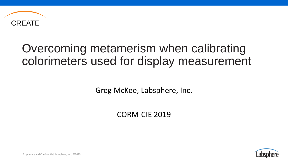

## Overcoming metamerism when calibrating colorimeters used for display measurement

Greg McKee, Labsphere, Inc.

CORM-CIE 2019



Proprietary and Confidential, Labsphere, Inc., ©2019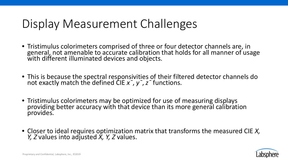## Display Measurement Challenges

- Tristimulus colorimeters comprised of three or four detector channels are, in general, not amenable to accurate calibration that holds for all manner of usage with different illuminated devices and objects.
- This is because the spectral responsivities of their filtered detector channels do not exactly match the defined CIE *x¯*, *y¯*, *z¯* functions.
- Tristimulus colorimeters may be optimized for use of measuring displays providing better accuracy with that device than its more general calibration provides.
- Closer to ideal requires optimization matrix that transforms the measured CIE *X, Y, Z* values into adjusted *X, Y, Z* values.

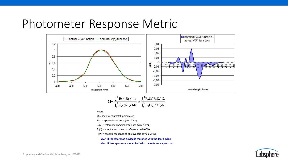#### Photometer Response Metric



$$
M = \frac{\int_a^b E(\lambda)R(\lambda)d\lambda}{\int_c^d E(\lambda)R_r(\lambda)d\lambda} \times \frac{\int_c^d E_0(\lambda)R_r(\lambda)d\lambda}{\int_a^b E_0(\lambda)R_t(\lambda)d\lambda}
$$

where:

 $M =$  spectral mismatch parameter;

 $E(\lambda)$  = spectral irradiance (Wm-2/nm);

 $E_0(\lambda)$  = reference spectral irradiance (Wm<sup>-2</sup>/nm);

 $R_r(\lambda)$  = spectral response of reference cell (A/W);

 $R_t(\lambda)$  = spectral response of photovoltaic device (A/W).

 $M = 1$  if the reference device is matched with the test device

 $M = 1$  if test spectrum is matched with the reference spectrum

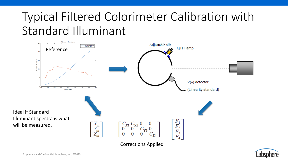# Typical Filtered Colorimeter Calibration with Standard Illuminant



Corrections Applied

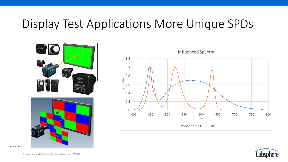## Display Test Applications More Unique SPDs







Proprietary and Confidential, Labsphere, Inc., ©2019

Sources: IDMS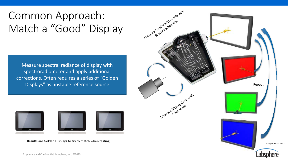## Common Approach: Match a "Good" Display

Measure spectral radiance of display with spectroradiometer and apply additional corrections. Often requires a series of "Golden



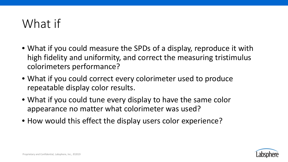## What if

- What if you could measure the SPDs of a display, reproduce it with high fidelity and uniformity, and correct the measuring tristimulus colorimeters performance?
- What if you could correct every colorimeter used to produce repeatable display color results.
- What if you could tune every display to have the same color appearance no matter what colorimeter was used?
- How would this effect the display users color experience?

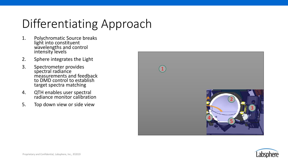# Differentiating Approach

- 1. Polychromatic Source breaks light into constituent wavelengths and control intensity levels
- 2. Sphere integrates the Light
- 3. Spectrometer provides spectral radiance measurements and feedback to DMD control to establish target spectra matching
- 4. QTH enables user spectral radiance monitor calibration
- 5. Top down view or side view



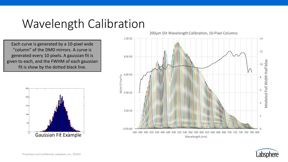## Wavelength Calibration

Each curve is generated by a 10-pixel wide "column" of the DMD mirrors. A curve is generated every 10 pixels. A gaussian fit is given to each, and the FWHM of each gaussian fit is show by the dotted black line.



200um Slit Wavelength Calibration, 10-Pixel Columns



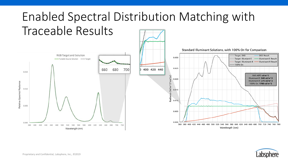

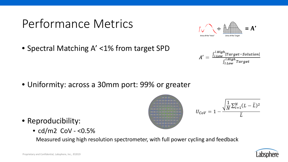## Performance Metrics



 $A' = \frac{\int_{\lambda \, Low}^{\lambda \, High} |Target-Solution|}{\int_{\lambda \, Low}^{\lambda \, High} Target}$ 

• Spectral Matching A' <1% from target SPD

• Uniformity: across a 30mm port: 99% or greater



- Reproducibility:
	- $cd/m2$  CoV <0.5%

Measured using high resolution spectrometer, with full power cycling and feedback

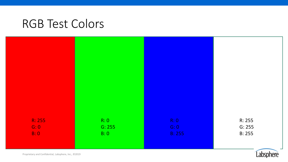#### RGB Test Colors



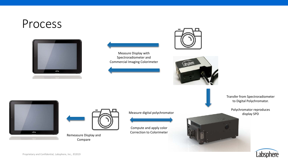#### Process













Remeasure Display and Compare



Compute and apply color Correction to Colorimeter Transfer from Spectroradiometer to Digital Polychromator.

Polychromator reproduces display SPD



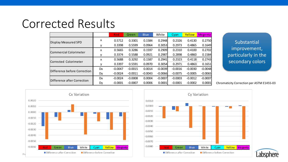#### Corrected Results

|                              |           | <b>Red</b> | Green     | <b>Blue</b> | White     | Cyan      | Yellow    | Megenta   |
|------------------------------|-----------|------------|-----------|-------------|-----------|-----------|-----------|-----------|
| <b>Display Measured SPD</b>  | x         | 0.5712     | 0.3301    | 0.1584      | 0.2948    | 0.2326    | 0.4130    | 0.2750    |
|                              | v         | 0.3398     | 0.5599    | 0.0964      | 0.3053    | 0.2973    | 0.4865    | 0.1649    |
| Commercial Colorimeter       | x         | 0.5665     | 0.3286    | 0.1597      | 0.2909    | 0.2310    | 0.4100    | 0.2702    |
|                              |           | 0.3374     | 0.5588    | 0.0921      | 0.2987    | 0.2898    | 0.4860    | 0.1584    |
| Corrected Colorimeter        | x         | 0.5688     | 0.3292    | 0.1587      | 0.2941    | 0.2323    | 0.4118    | 0.2743    |
|                              | v         | 0.3397     | 0.5591    | 0.0970      | 0.3054    | 0.2971    | 0.4863    | 0.1651    |
| Difference before Correction | <b>Dx</b> | $-0.0047$  | $-0.0015$ | 0.0014      | $-0.0039$ | $-0.0016$ | $-0.0030$ | $-0.0048$ |
|                              | Dy        | $-0.0024$  | $-0.0011$ | $-0.0043$   | $-0.0066$ | $-0.0075$ | $-0.0005$ | $-0.0065$ |
| Difference after Correction  | Dx        | $-0.0024$  | $-0.0008$ | 0.0004      | $-0.0007$ | $-0.0003$ | $-0.0012$ | $-0.0007$ |
|                              | Dy        | $-0.0001$  | $-0.0007$ | 0.0006      | 0.0001    | $-0.0001$ | $-0.0002$ | 0.0001    |

Substantial improvement, particularly in the secondary colors

Chromaticity Correction per ASTM E1455-03



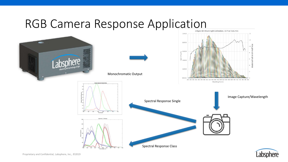# RGB Camera Response Application